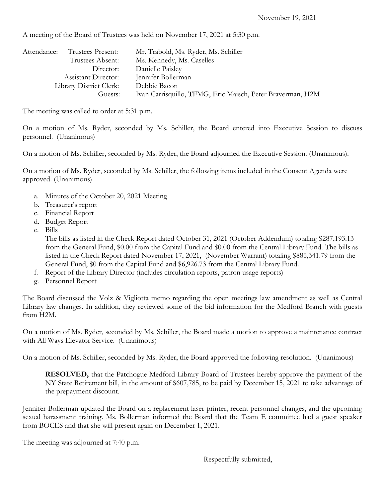A meeting of the Board of Trustees was held on November 17, 2021 at 5:30 p.m.

| Attendance:             | Trustees Present:   | Mr. Trabold, Ms. Ryder, Ms. Schiller                       |
|-------------------------|---------------------|------------------------------------------------------------|
|                         | Trustees Absent:    | Ms. Kennedy, Ms. Caselles                                  |
|                         | Director:           | Danielle Paisley                                           |
|                         | Assistant Director: | Jennifer Bollerman                                         |
| Library District Clerk: |                     | Debbie Bacon                                               |
|                         | Guests:             | Ivan Carrisquillo, TFMG, Eric Maisch, Peter Braverman, H2M |

The meeting was called to order at 5:31 p.m.

On a motion of Ms. Ryder, seconded by Ms. Schiller, the Board entered into Executive Session to discuss personnel. (Unanimous)

On a motion of Ms. Schiller, seconded by Ms. Ryder, the Board adjourned the Executive Session. (Unanimous).

On a motion of Ms. Ryder, seconded by Ms. Schiller, the following items included in the Consent Agenda were approved. (Unanimous)

- a. Minutes of the October 20, 2021 Meeting
- b. Treasurer's report
- c. Financial Report
- d. Budget Report
- e. Bills

The bills as listed in the Check Report dated October 31, 2021 (October Addendum) totaling \$287,193.13 from the General Fund, \$0.00 from the Capital Fund and \$0.00 from the Central Library Fund. The bills as listed in the Check Report dated November 17, 2021, (November Warrant) totaling \$885,341.79 from the General Fund, \$0 from the Capital Fund and \$6,926.73 from the Central Library Fund.

- f. Report of the Library Director (includes circulation reports, patron usage reports)
- g. Personnel Report

The Board discussed the Volz & Vigliotta memo regarding the open meetings law amendment as well as Central Library law changes. In addition, they reviewed some of the bid information for the Medford Branch with guests from H2M.

On a motion of Ms. Ryder, seconded by Ms. Schiller, the Board made a motion to approve a maintenance contract with All Ways Elevator Service. (Unanimous)

On a motion of Ms. Schiller, seconded by Ms. Ryder, the Board approved the following resolution. (Unanimous)

**RESOLVED,** that the Patchogue-Medford Library Board of Trustees hereby approve the payment of the NY State Retirement bill, in the amount of \$607,785, to be paid by December 15, 2021 to take advantage of the prepayment discount.

Jennifer Bollerman updated the Board on a replacement laser printer, recent personnel changes, and the upcoming sexual harassment training. Ms. Bollerman informed the Board that the Team E committee had a guest speaker from BOCES and that she will present again on December 1, 2021.

The meeting was adjourned at 7:40 p.m.

Respectfully submitted,